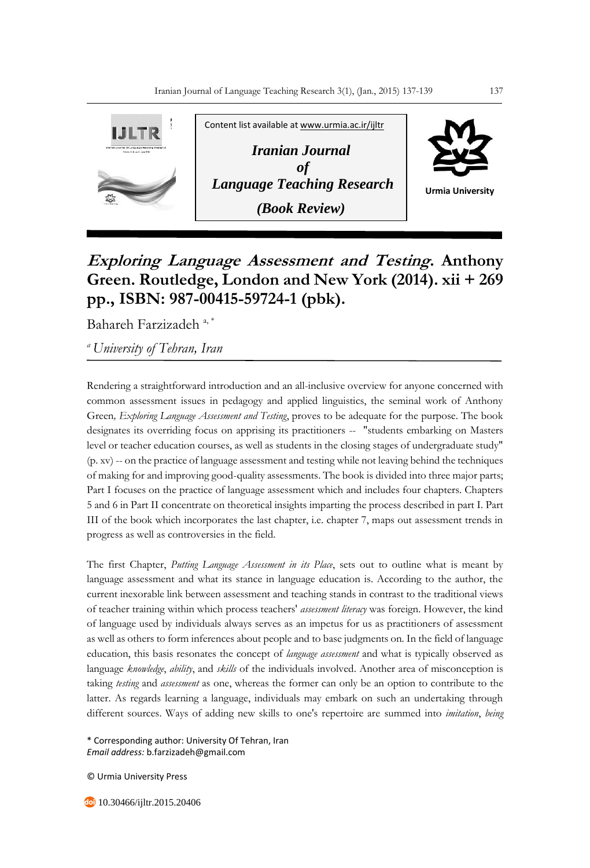

## **Exploring Language Assessment and Testing. Anthony Green. Routledge, London and New York (2014). xii + 269 pp., ISBN: 987-00415-59724-1 (pbk).**

Bahareh Farzizadeh<sup>a,\*</sup>

*<sup>a</sup>University of Tehran, Iran*

Rendering a straightforward introduction and an all-inclusive overview for anyone concerned with common assessment issues in pedagogy and applied linguistics, the seminal work of Anthony Green*, Exploring Language Assessment and Testing*, proves to be adequate for the purpose. The book designates its overriding focus on apprising its practitioners -- "students embarking on Masters level or teacher education courses, as well as students in the closing stages of undergraduate study" (p. xv) -- on the practice of language assessment and testing while not leaving behind the techniques of making for and improving good-quality assessments. The book is divided into three major parts; Part I focuses on the practice of language assessment which and includes four chapters. Chapters 5 and 6 in Part II concentrate on theoretical insights imparting the process described in part I. Part III of the book which incorporates the last chapter, i.e. chapter 7, maps out assessment trends in progress as well as controversies in the field.

The first Chapter, *Putting Language Assessment in its Place*, sets out to outline what is meant by language assessment and what its stance in language education is. According to the author, the current inexorable link between assessment and teaching stands in contrast to the traditional views of teacher training within which process teachers' *assessment literacy* was foreign. However, the kind of language used by individuals always serves as an impetus for us as practitioners of assessment as well as others to form inferences about people and to base judgments on. In the field of language education, this basis resonates the concept of *language assessment* and what is typically observed as language *knowledge*, *ability*, and *skills* of the individuals involved. Another area of misconception is taking *testing* and *assessment* as one, whereas the former can only be an option to contribute to the latter. As regards learning a language, individuals may embark on such an undertaking through different sources. Ways of adding new skills to one's repertoire are summed into *imitation*, *being* 

\* Corresponding author: University Of Tehran, Iran *Email address:* b.farzizadeh@gmail.com

© Urmia University Press

10.30466/ijltr.2015.20406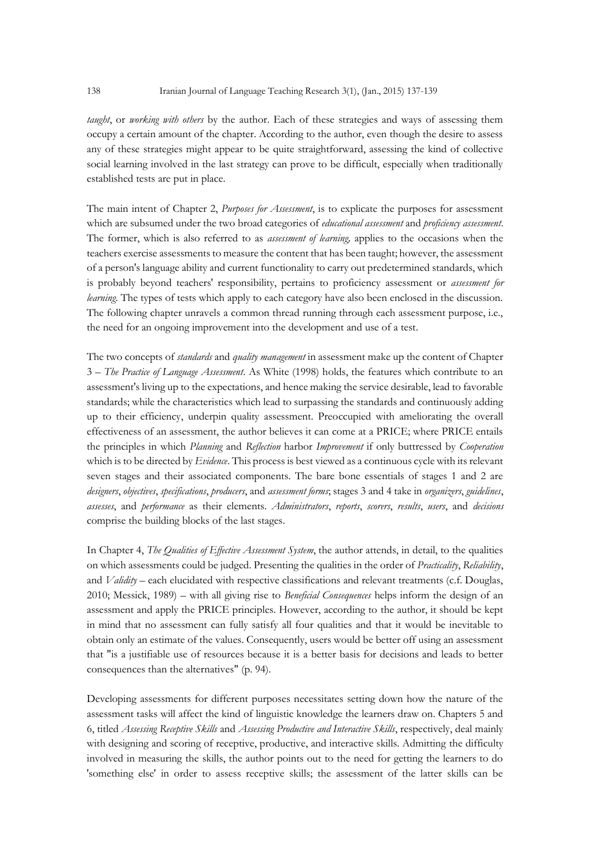*taught*, or *working with others* by the author. Each of these strategies and ways of assessing them occupy a certain amount of the chapter. According to the author, even though the desire to assess any of these strategies might appear to be quite straightforward, assessing the kind of collective social learning involved in the last strategy can prove to be difficult, especially when traditionally established tests are put in place.

The main intent of Chapter 2, *Purposes for Assessment*, is to explicate the purposes for assessment which are subsumed under the two broad categories of *educational assessment* and *proficiency assessment*. The former, which is also referred to as *assessment of learning,* applies to the occasions when the teachers exercise assessments to measure the content that has been taught; however, the assessment of a person's language ability and current functionality to carry out predetermined standards, which is probably beyond teachers' responsibility, pertains to proficiency assessment or *assessment for learning*. The types of tests which apply to each category have also been enclosed in the discussion. The following chapter unravels a common thread running through each assessment purpose, i.e., the need for an ongoing improvement into the development and use of a test.

The two concepts of *standards* and *quality management* in assessment make up the content of Chapter 3 – *The Practice of Language Assessment*. As White (1998) holds, the features which contribute to an assessment's living up to the expectations, and hence making the service desirable, lead to favorable standards; while the characteristics which lead to surpassing the standards and continuously adding up to their efficiency, underpin quality assessment. Preoccupied with ameliorating the overall effectiveness of an assessment, the author believes it can come at a PRICE; where PRICE entails the principles in which *Planning* and *Reflection* harbor *Improvement* if only buttressed by *Cooperation* which is to be directed by *Evidence*. This process is best viewed as a continuous cycle with its relevant seven stages and their associated components. The bare bone essentials of stages 1 and 2 are *designers*, *objectives*, *specifications*, *producers*, and *assessment forms*; stages 3 and 4 take in *organizers*, *guidelines*, *assesses*, and *performance* as their elements. *Administrators*, *reports*, *scorers*, *results*, *users*, and *decisions* comprise the building blocks of the last stages.

In Chapter 4, *The Qualities of Effective Assessment System*, the author attends, in detail, to the qualities on which assessments could be judged. Presenting the qualities in the order of *Practicality*, *Reliability*, and *Validity* – each elucidated with respective classifications and relevant treatments (c.f. Douglas, 2010; Messick, 1989) – with all giving rise to *Beneficial Consequences* helps inform the design of an assessment and apply the PRICE principles. However, according to the author, it should be kept in mind that no assessment can fully satisfy all four qualities and that it would be inevitable to obtain only an estimate of the values. Consequently, users would be better off using an assessment that "is a justifiable use of resources because it is a better basis for decisions and leads to better consequences than the alternatives" (p. 94).

Developing assessments for different purposes necessitates setting down how the nature of the assessment tasks will affect the kind of linguistic knowledge the learners draw on. Chapters 5 and 6, titled *Assessing Receptive Skills* and *Assessing Productive and Interactive Skills*, respectively, deal mainly with designing and scoring of receptive, productive, and interactive skills. Admitting the difficulty involved in measuring the skills, the author points out to the need for getting the learners to do 'something else' in order to assess receptive skills; the assessment of the latter skills can be